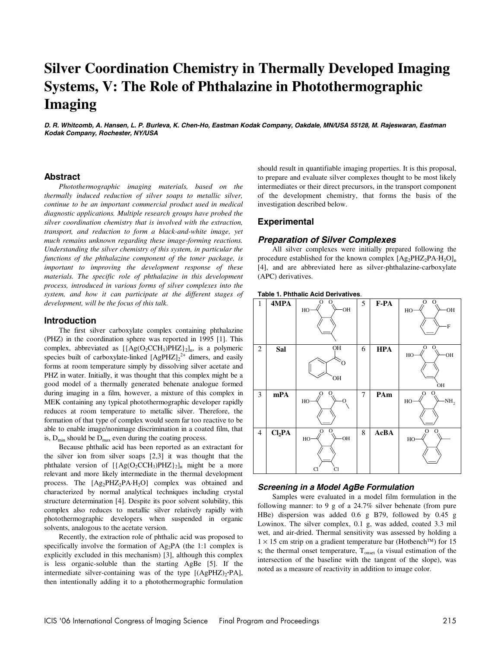# **Silver Coordination Chemistry in Thermally Developed Imaging Systems, V: The Role of Phthalazine in Photothermographic Imaging**

**D. R. Whitcomb, A. Hansen, L. P. Burleva, K. Chen-Ho, Eastman Kodak Company, Oakdale, MN/USA 55128, M. Rajeswaran, Eastman Kodak Company, Rochester, NY/USA** 

# **Abstract**

*Photothermographic imaging materials, based on the thermally induced reduction of silver soaps to metallic silver, continue to be an important commercial product used in medical diagnostic applications. Multiple research groups have probed the silver coordination chemistry that is involved with the extraction, transport, and reduction to form a black-and-white image, yet much remains unknown regarding these image-forming reactions. Understanding the silver chemistry of this system, in particular the functions of the phthalazine component of the toner package, is important to improving the development response of these materials. The specific role of phthalazine in this development process, introduced in various forms of silver complexes into the system, and how it can participate at the different stages of development, will be the focus of this talk.* 

#### **Introduction**

The first silver carboxylate complex containing phthalazine (PHZ) in the coordination sphere was reported in 1995 [1]. This complex, abbreviated as  $[{Ag(O_2CCH_3)PHZ}]_2]_n$ , is a polymeric species built of carboxylate-linked  $[AgPHZ]_2^{2+}$  dimers, and easily forms at room temperature simply by dissolving silver acetate and PHZ in water. Initially, it was thought that this complex might be a good model of a thermally generated behenate analogue formed during imaging in a film, however, a mixture of this complex in MEK containing any typical photothermographic developer rapidly reduces at room temperature to metallic silver. Therefore, the formation of that type of complex would seem far too reactive to be able to enable image/nonimage discrimination in a coated film, that is,  $D_{\min}$  should be  $D_{\max}$  even during the coating process.

Because phthalic acid has been reported as an extractant for the silver ion from silver soaps [2,3] it was thought that the phthalate version of  $[{Ag(O_2CCH_3)PHZ}]_2]_n$  might be a more relevant and more likely intermediate in the thermal development process. The  $[Ag_2PHZ_2PA·H_2O]$  complex was obtained and characterized by normal analytical techniques including crystal structure determination [4]. Despite its poor solvent solubility, this complex also reduces to metallic silver relatively rapidly with photothermographic developers when suspended in organic solvents, analogous to the acetate version.

Recently, the extraction role of phthalic acid was proposed to specifically involve the formation of  $Ag_2PA$  (the 1:1 complex is explicitly excluded in this mechanism) [3], although this complex is less organic-soluble than the starting AgBe [5]. If the intermediate silver-containing was of the type  $[(AgPHZ)_{2} \cdot PA]$ , then intentionally adding it to a photothermographic formulation should result in quantifiable imaging properties. It is this proposal, to prepare and evaluate silver complexes thought to be most likely intermediates or their direct precursors, in the transport component of the development chemistry, that forms the basis of the investigation described below.

# **Experimental**

# **Preparation of Silver Complexes**

All silver complexes were initially prepared following the procedure established for the known complex  $[Ag_2PHZ_2PA·H_2O]_n$ [4], and are abbreviated here as silver-phthalazine-carboxylate (APC) derivatives.



# **Screening in a Model AgBe Formulation**

Samples were evaluated in a model film formulation in the following manner: to 9 g of a 24.7% silver behenate (from pure HBe) dispersion was added 0.6 g B79, followed by 0.45 g Lowinox. The silver complex, 0.1 g, was added, coated 3.3 mil wet, and air-dried. Thermal sensitivity was assessed by holding a  $1 \times 15$  cm strip on a gradient temperature bar (Hotbench™) for 15 s; the thermal onset temperature,  $T_{onset}$  (a visual estimation of the intersection of the baseline with the tangent of the slope), was noted as a measure of reactivity in addition to image color.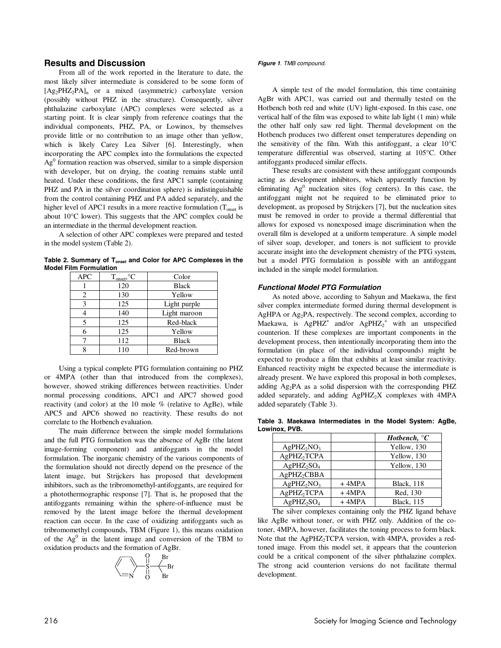# **Results and Discussion**

From all of the work reported in the literature to date, the most likely silver intermediate is considered to be some form of  $[Ag_2PHZ_2PA]_n$  or a mixed (asymmetric) carboxylate version (possibly without PHZ in the structure). Consequently, silver phthalazine carboxylate (APC) complexes were selected as a starting point. It is clear simply from reference coatings that the individual components, PHZ, PA, or Lowinox, by themselves provide little or no contribution to an image other than yellow, which is likely Carey Lea Silver [6]. Interestingly, when incorporating the APC complex into the formulations the expected  $Ag<sup>0</sup>$  formation reaction was observed, similar to a simple dispersion with developer, but on drying, the coating remains stable until heated. Under these conditions, the first APC1 sample (containing PHZ and PA in the silver coordination sphere) is indistinguishable from the control containing PHZ and PA added separately, and the higher level of APC1 results in a more reactive formulation  $(T_{onset}$  is about 10°C lower). This suggests that the APC complex could be an intermediate in the thermal development reaction.

A selection of other APC complexes were prepared and tested in the model system (Table 2).

Table 2. Summary of T<sub>onset</sub> and Color for APC Complexes in the **Model Film Formulation** 

| <b>APC</b> | $T_{onset}$ , ${}^{\circ}C$ | Color        |
|------------|-----------------------------|--------------|
|            | 120                         | <b>Black</b> |
| 2          | 130                         | Yellow       |
| 3          | 125                         | Light purple |
|            | 140                         | Light maroon |
| 5          | 125                         | Red-black    |
|            | 125                         | Yellow       |
|            | 112                         | <b>Black</b> |
|            | 110                         | Red-brown    |

Using a typical complete PTG formulation containing no PHZ or 4MPA (other than that introduced from the complexes), however, showed striking differences between reactivities. Under normal processing conditions, APC1 and APC7 showed good reactivity (and color) at the 10 mole % (relative to AgBe), while APC5 and APC6 showed no reactivity. These results do not correlate to the Hotbench evaluation.

The main difference between the simple model formulations and the full PTG formulation was the absence of AgBr (the latent image-forming component) and antifoggants in the model formulation. The inorganic chemistry of the various components of the formulation should not directly depend on the presence of the latent image, but Strijckers has proposed that development inhibitors, such as the tribromomethyl-antifoggants, are required for a photothermographic response [7]. That is, he proposed that the antifoggants remaining within the sphere-of-influence must be removed by the latent image before the thermal development reaction can occur. In the case of oxidizing antifoggants such as tribromomethyl compounds, TBM (Figure 1), this means oxidation of the  $Ag<sup>0</sup>$  in the latent image and conversion of the TBM to oxidation products and the formation of AgBr.



#### **Figure 1**. TMB compound.

A simple test of the model formulation, this time containing AgBr with APC1, was carried out and thermally tested on the Hotbench both red and white (UV) light-exposed. In this case, one vertical half of the film was exposed to white lab light (1 min) while the other half only saw red light. Thermal development on the Hotbench produces two different onset temperatures depending on the sensitivity of the film. With this antifoggant, a clear 10°C temperature differential was observed, starting at 105°C. Other antifoggants produced similar effects.

These results are consistent with these antifoggant compounds acting as development inhibitors, which apparently function by eliminating  $Ag^0$  nucleation sites (fog centers). In this case, the antifoggant might not be required to be eliminated prior to development, as proposed by Strijckers [7], but the nucleation sites must be removed in order to provide a thermal differential that allows for exposed vs nonexposed image discrimination when the overall film is developed at a uniform temperature. A simple model of silver soap, developer, and toners is not sufficient to provide accurate insight into the development chemistry of the PTG system, but a model PTG formulation is possible with an antifoggant included in the simple model formulation.

### **Functional Model PTG Formulation**

As noted above, according to Sahyun and Maekawa, the first silver complex intermediate formed during thermal development is AgHPA or Ag<sub>2</sub>PA, respectively. The second complex, according to Maekawa, is AgPHZ<sup>+</sup> and/or AgPHZ<sub>2</sub><sup>+</sup> with an unspecified counterion. If these complexes are important components in the development process, then intentionally incorporating them into the formulation (in place of the individual compounds) might be expected to produce a film that exhibits at least similar reactivity. Enhanced reactivity might be expected because the intermediate is already present. We have explored this proposal in both complexes, adding Ag2PA as a solid dispersion with the corresponding PHZ added separately, and adding  $AgPHZ_2X$  complexes with  $4MPA$ added separately (Table 3).

**Table 3. Maekawa Intermediates in the Model System: AgBe, Lowinox, PVB.** 

|                         |         | Hotbench, ${}^{\circ}C$ |
|-------------------------|---------|-------------------------|
| $AgPHZ_2NO_3$           |         | Yellow, 130             |
| AgPHZ <sub>2</sub> TCPA |         | Yellow, 130             |
| $AgPHZ_2SO_4$           |         | Yellow, 130             |
| AgPHZ <sub>2</sub> CBBA |         |                         |
| $AgPHZ_2NO_3$           | $+4MPA$ | <b>Black</b> , 118      |
| AgPHZ <sub>2</sub> TCPA | $+4MPA$ | Red, 130                |
| $AgPHZ_2SO_4$           | $+4MPA$ | <b>Black</b> , 115      |

The silver complexes containing only the PHZ ligand behave like AgBe without toner, or with PHZ only. Addition of the cotoner, 4MPA, however, facilitates the toning process to form black. Note that the AgPHZ<sub>2</sub>TCPA version, with 4MPA, provides a redtoned image. From this model set, it appears that the counterion could be a critical component of the silver phthalazine complex. The strong acid counterion versions do not facilitate thermal development.